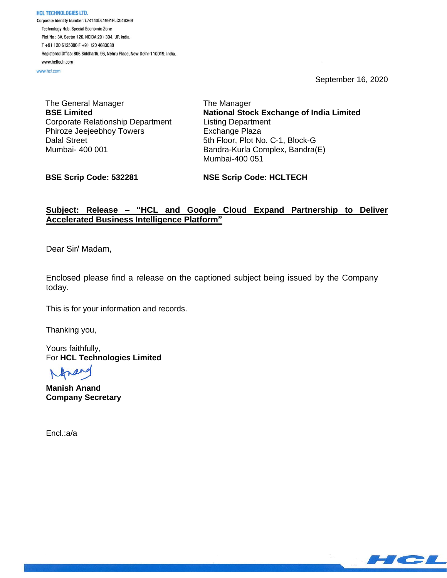HCL TECHNOLOGIES LTD. Corporate Identity Number: L74140DL1991PLC046369 Technology Hub, Special Economic Zone Plot No: 3A, Sector 126, NOIDA 201 304, UP, India. T+91 120 6125000 F+91 120 4683030 Registered Office: 806 Siddharth, 96, Nehru Place, New Delhi-110019, India. www.hcltech.com

www.hcl.com

September 16, 2020

The General Manager **BSE Limited** Corporate Relationship Department Phiroze Jeejeebhoy Towers Dalal Street Mumbai- 400 001

The Manager **National Stock Exchange of India Limited** Listing Department Exchange Plaza 5th Floor, Plot No. C-1, Block-G Bandra-Kurla Complex, Bandra(E) Mumbai-400 051

**BSE Scrip Code: 532281**

**NSE Scrip Code: HCLTECH**

# **Subject: Release – "HCL and Google Cloud Expand Partnership to Deliver Accelerated Business Intelligence Platform"**

Dear Sir/ Madam,

Enclosed please find a release on the captioned subject being issued by the Company today.

This is for your information and records.

Thanking you,

Yours faithfully, For **HCL Technologies Limited**

**Manish Anand Company Secretary**

Encl.:a/a

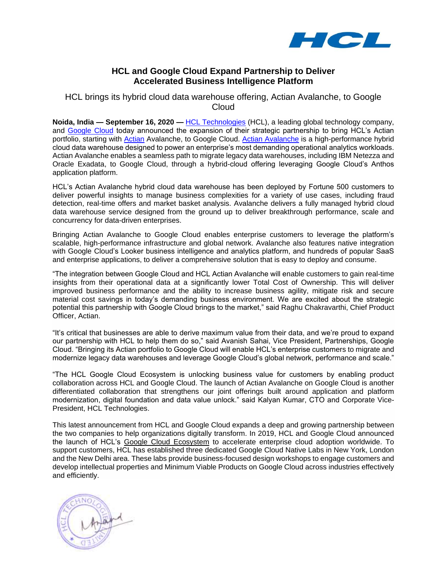

# **HCL and Google Cloud Expand Partnership to Deliver Accelerated Business Intelligence Platform**

# HCL brings its hybrid cloud data warehouse offering, Actian Avalanche, to Google **Cloud**

**Noida, India — September 16, 2020 —** HCL [Technologies](https://www.hcltech.com/) (HCL), a leading global technology company, and [Google Cloud](https://cloud.google.com/) today announced the expansion of their strategic partnership to bring HCL's Actian portfolio, starting with [Actian](https://www.actian.com/) Avalanche, to Google Cloud. [Actian Avalanche](https://www.actian.com/partners/google-cloud/) is a high-performance hybrid cloud data warehouse designed to power an enterprise's most demanding operational analytics workloads. Actian Avalanche enables a seamless path to migrate legacy data warehouses, including IBM Netezza and Oracle Exadata, to Google Cloud, through a hybrid-cloud offering leveraging Google Cloud's Anthos application platform.

HCL's Actian Avalanche hybrid cloud data warehouse has been deployed by Fortune 500 customers to deliver powerful insights to manage business complexities for a variety of use cases, including fraud detection, real-time offers and market basket analysis. Avalanche delivers a fully managed hybrid cloud data warehouse service designed from the ground up to deliver breakthrough performance, scale and concurrency for data-driven enterprises.

Bringing Actian Avalanche to Google Cloud enables enterprise customers to leverage the platform's scalable, high-performance infrastructure and global network. Avalanche also features native integration with Google Cloud's Looker business intelligence and analytics platform, and hundreds of popular SaaS and enterprise applications, to deliver a comprehensive solution that is easy to deploy and consume.

"The integration between Google Cloud and HCL Actian Avalanche will enable customers to gain real-time insights from their operational data at a significantly lower Total Cost of Ownership. This will deliver improved business performance and the ability to increase business agility, mitigate risk and secure material cost savings in today's demanding business environment. We are excited about the strategic potential this partnership with Google Cloud brings to the market," said Raghu Chakravarthi, Chief Product Officer, Actian.

"It's critical that businesses are able to derive maximum value from their data, and we're proud to expand our partnership with HCL to help them do so," said Avanish Sahai, Vice President, Partnerships, Google Cloud. "Bringing its Actian portfolio to Google Cloud will enable HCL's enterprise customers to migrate and modernize legacy data warehouses and leverage Google Cloud's global network, performance and scale."

"The HCL Google Cloud Ecosystem is unlocking business value for customers by enabling product collaboration across HCL and Google Cloud. The launch of Actian Avalanche on Google Cloud is another differentiated collaboration that strengthens our joint offerings built around application and platform modernization, digital foundation and data value unlock." said Kalyan Kumar, CTO and Corporate Vice-President, HCL Technologies.

This latest announcement from HCL and Google Cloud expands a deep and growing partnership between the two companies to help organizations digitally transform. In 2019, HCL and Google Cloud announced the launch of HCL's [Google Cloud Ecosystem](https://www.hcltech.com/cloud/google-cloud) to accelerate enterprise cloud adoption worldwide. To support customers, HCL has established three dedicated Google Cloud Native Labs in New York, London and the New Delhi area. These labs provide business-focused design workshops to engage customers and develop intellectual properties and Minimum Viable Products on Google Cloud across industries effectively and efficiently.

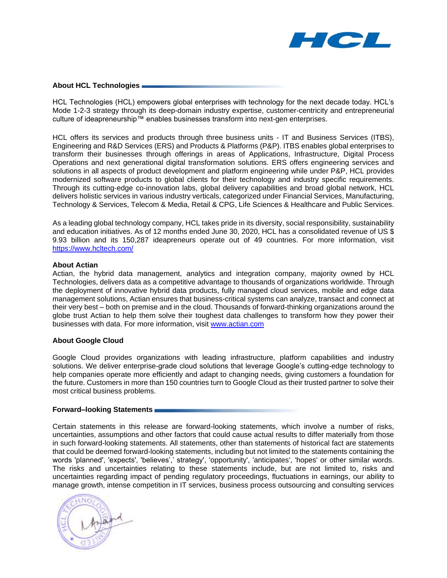

### **About HCL Technologies**

HCL Technologies (HCL) empowers global enterprises with technology for the next decade today. HCL's Mode 1-2-3 strategy through its deep-domain industry expertise, customer-centricity and entrepreneurial culture of ideapreneurship™ enables businesses transform into next-gen enterprises.

HCL offers its services and products through three business units - IT and Business Services (ITBS), Engineering and R&D Services (ERS) and Products & Platforms (P&P). ITBS enables global enterprises to transform their businesses through offerings in areas of Applications, Infrastructure, Digital Process Operations and next generational digital transformation solutions. ERS offers engineering services and solutions in all aspects of product development and platform engineering while under P&P, HCL provides modernized software products to global clients for their technology and industry specific requirements. Through its cutting-edge co-innovation labs, global delivery capabilities and broad global network, HCL delivers holistic services in various industry verticals, categorized under Financial Services, Manufacturing, Technology & Services, Telecom & Media, Retail & CPG, Life Sciences & Healthcare and Public Services.

As a leading global technology company, HCL takes pride in its diversity, social responsibility, sustainability and education initiatives. As of 12 months ended June 30, 2020, HCL has a consolidated revenue of US \$ 9.93 billion and its 150,287 ideapreneurs operate out of 49 countries. For more information, visit <https://www.hcltech.com/>

### **About Actian**

Actian, the hybrid data management, analytics and integration company, majority owned by HCL Technologies, delivers data as a competitive advantage to thousands of organizations worldwide. Through the deployment of innovative hybrid data products, fully managed cloud services, mobile and edge data management solutions, Actian ensures that business-critical systems can analyze, transact and connect at their very best – both on premise and in the cloud. Thousands of forward-thinking organizations around the globe trust Actian to help them solve their toughest data challenges to transform how they power their businesses with data. For more information, visit [www.actian.com](http://www.actian.com/)

### **About Google Cloud**

Google Cloud provides organizations with leading infrastructure, platform capabilities and industry solutions. We deliver enterprise-grade cloud solutions that leverage Google's cutting-edge technology to help companies operate more efficiently and adapt to changing needs, giving customers a foundation for the future. Customers in more than 150 countries turn to Google Cloud as their trusted partner to solve their most critical business problems.

### **Forward–looking Statements**

Certain statements in this release are forward-looking statements, which involve a number of risks, uncertainties, assumptions and other factors that could cause actual results to differ materially from those in such forward-looking statements. All statements, other than statements of historical fact are statements that could be deemed forward-looking statements, including but not limited to the statements containing the words 'planned', 'expects', 'believes',' strategy', 'opportunity', 'anticipates', 'hopes' or other similar words. The risks and uncertainties relating to these statements include, but are not limited to, risks and uncertainties regarding impact of pending regulatory proceedings, fluctuations in earnings, our ability to manage growth, intense competition in IT services, business process outsourcing and consulting services